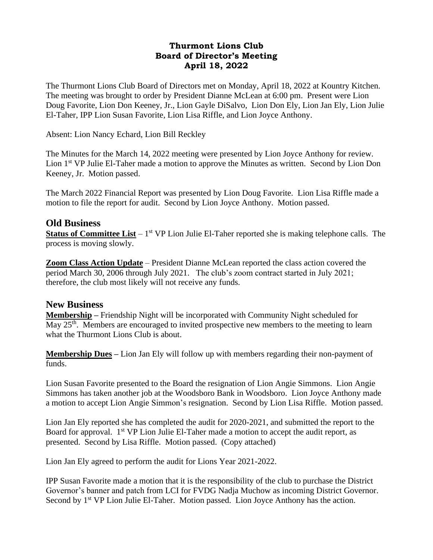#### **Thurmont Lions Club Board of Director's Meeting April 18, 2022**

The Thurmont Lions Club Board of Directors met on Monday, April 18, 2022 at Kountry Kitchen. The meeting was brought to order by President Dianne McLean at 6:00 pm. Present were Lion Doug Favorite, Lion Don Keeney, Jr., Lion Gayle DiSalvo, Lion Don Ely, Lion Jan Ely, Lion Julie El-Taher, IPP Lion Susan Favorite, Lion Lisa Riffle, and Lion Joyce Anthony.

Absent: Lion Nancy Echard, Lion Bill Reckley

The Minutes for the March 14, 2022 meeting were presented by Lion Joyce Anthony for review. Lion 1<sup>st</sup> VP Julie El-Taher made a motion to approve the Minutes as written. Second by Lion Don Keeney, Jr. Motion passed.

The March 2022 Financial Report was presented by Lion Doug Favorite. Lion Lisa Riffle made a motion to file the report for audit. Second by Lion Joyce Anthony. Motion passed.

### **Old Business**

**Status of Committee List** – 1<sup>st</sup> VP Lion Julie El-Taher reported she is making telephone calls. The process is moving slowly.

**Zoom Class Action Update** – President Dianne McLean reported the class action covered the period March 30, 2006 through July 2021. The club's zoom contract started in July 2021; therefore, the club most likely will not receive any funds.

#### **New Business**

**Membership –** Friendship Night will be incorporated with Community Night scheduled for May 25<sup>th</sup>. Members are encouraged to invited prospective new members to the meeting to learn what the Thurmont Lions Club is about.

**Membership Dues –** Lion Jan Ely will follow up with members regarding their non-payment of funds.

Lion Susan Favorite presented to the Board the resignation of Lion Angie Simmons. Lion Angie Simmons has taken another job at the Woodsboro Bank in Woodsboro. Lion Joyce Anthony made a motion to accept Lion Angie Simmon's resignation. Second by Lion Lisa Riffle. Motion passed.

Lion Jan Ely reported she has completed the audit for 2020-2021, and submitted the report to the Board for approval.  $1<sup>st</sup> VP$  Lion Julie El-Taher made a motion to accept the audit report, as presented. Second by Lisa Riffle. Motion passed. (Copy attached)

Lion Jan Ely agreed to perform the audit for Lions Year 2021-2022.

IPP Susan Favorite made a motion that it is the responsibility of the club to purchase the District Governor's banner and patch from LCI for FVDG Nadja Muchow as incoming District Governor. Second by 1<sup>st</sup> VP Lion Julie El-Taher. Motion passed. Lion Joyce Anthony has the action.